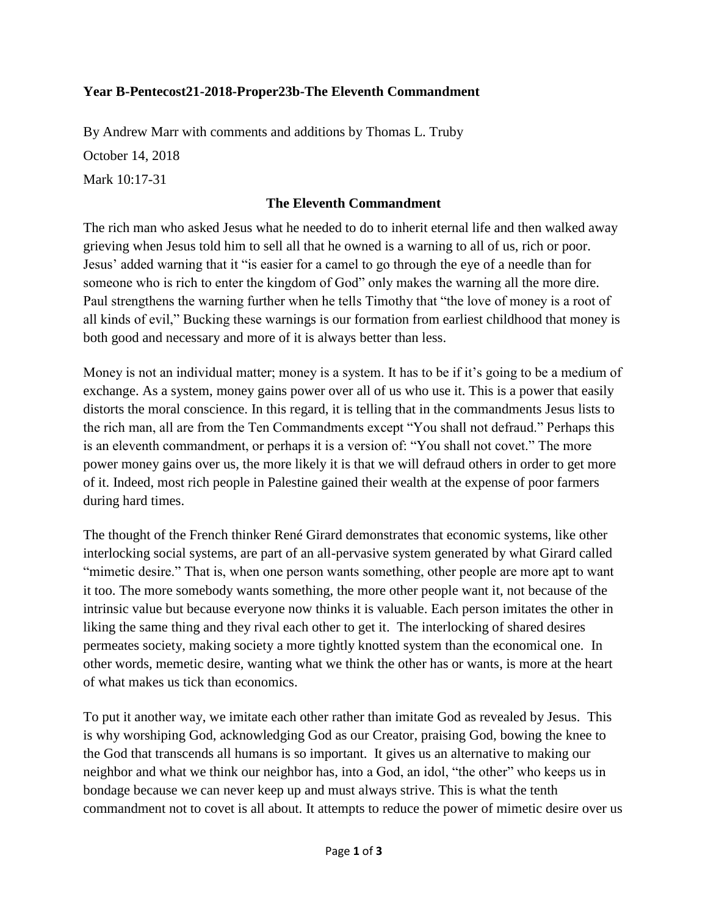## **Year B-Pentecost21-2018-Proper23b-The Eleventh Commandment**

By Andrew Marr with comments and additions by Thomas L. Truby

October 14, 2018

Mark 10:17-31

## **The Eleventh Commandment**

The rich man who asked Jesus what he needed to do to inherit eternal life and then walked away grieving when Jesus told him to sell all that he owned is a warning to all of us, rich or poor. Jesus' added warning that it "is easier for a camel to go through the eye of a needle than for someone who is rich to enter the kingdom of God" only makes the warning all the more dire. Paul strengthens the warning further when he tells Timothy that "the love of money is a root of all kinds of evil," Bucking these warnings is our formation from earliest childhood that money is both good and necessary and more of it is always better than less.

Money is not an individual matter; money is a system. It has to be if it's going to be a medium of exchange. As a system, money gains power over all of us who use it. This is a power that easily distorts the moral conscience. In this regard, it is telling that in the commandments Jesus lists to the rich man, all are from the Ten Commandments except "You shall not defraud." Perhaps this is an eleventh commandment, or perhaps it is a version of: "You shall not covet." The more power money gains over us, the more likely it is that we will defraud others in order to get more of it. Indeed, most rich people in Palestine gained their wealth at the expense of poor farmers during hard times.

The thought of the French thinker René Girard demonstrates that economic systems, like other interlocking social systems, are part of an all-pervasive system generated by what Girard called "mimetic desire." That is, when one person wants something, other people are more apt to want it too. The more somebody wants something, the more other people want it, not because of the intrinsic value but because everyone now thinks it is valuable. Each person imitates the other in liking the same thing and they rival each other to get it. The interlocking of shared desires permeates society, making society a more tightly knotted system than the economical one. In other words, memetic desire, wanting what we think the other has or wants, is more at the heart of what makes us tick than economics.

To put it another way, we imitate each other rather than imitate God as revealed by Jesus. This is why worshiping God, acknowledging God as our Creator, praising God, bowing the knee to the God that transcends all humans is so important. It gives us an alternative to making our neighbor and what we think our neighbor has, into a God, an idol, "the other" who keeps us in bondage because we can never keep up and must always strive. This is what the tenth commandment not to covet is all about. It attempts to reduce the power of mimetic desire over us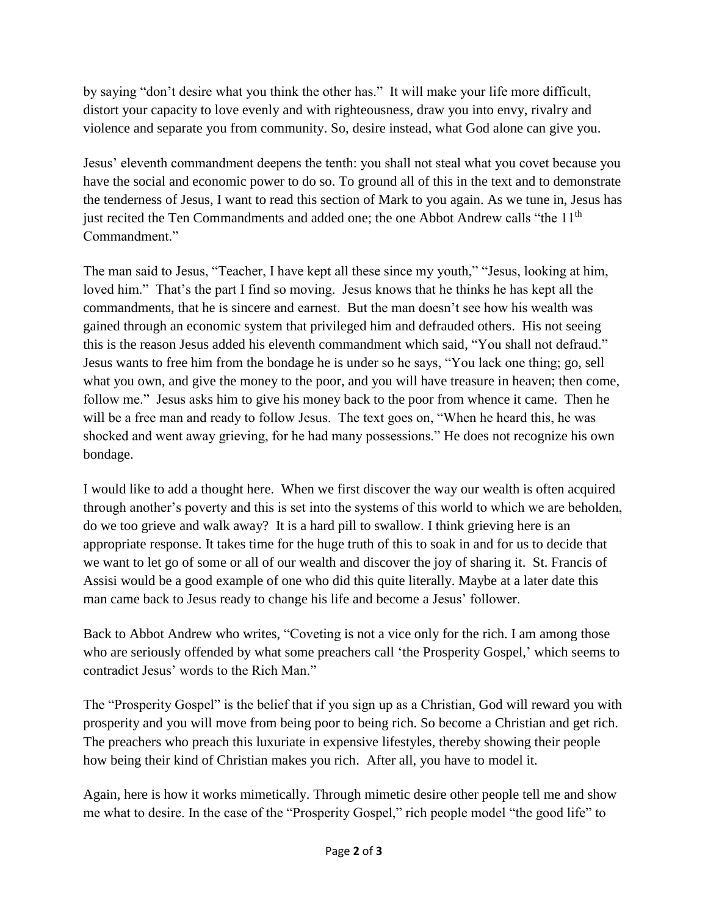by saying "don't desire what you think the other has." It will make your life more difficult, distort your capacity to love evenly and with righteousness, draw you into envy, rivalry and violence and separate you from community. So, desire instead, what God alone can give you.

Jesus' eleventh commandment deepens the tenth: you shall not steal what you covet because you have the social and economic power to do so. To ground all of this in the text and to demonstrate the tenderness of Jesus, I want to read this section of Mark to you again. As we tune in, Jesus has just recited the Ten Commandments and added one; the one Abbot Andrew calls "the 11<sup>th</sup> Commandment."

The man said to Jesus, "Teacher, I have kept all these since my youth," "Jesus, looking at him, loved him." That's the part I find so moving. Jesus knows that he thinks he has kept all the commandments, that he is sincere and earnest. But the man doesn't see how his wealth was gained through an economic system that privileged him and defrauded others. His not seeing this is the reason Jesus added his eleventh commandment which said, "You shall not defraud." Jesus wants to free him from the bondage he is under so he says, "You lack one thing; go, sell what you own, and give the money to the poor, and you will have treasure in heaven; then come, follow me." Jesus asks him to give his money back to the poor from whence it came. Then he will be a free man and ready to follow Jesus. The text goes on, "When he heard this, he was shocked and went away grieving, for he had many possessions." He does not recognize his own bondage.

I would like to add a thought here. When we first discover the way our wealth is often acquired through another's poverty and this is set into the systems of this world to which we are beholden, do we too grieve and walk away? It is a hard pill to swallow. I think grieving here is an appropriate response. It takes time for the huge truth of this to soak in and for us to decide that we want to let go of some or all of our wealth and discover the joy of sharing it. St. Francis of Assisi would be a good example of one who did this quite literally. Maybe at a later date this man came back to Jesus ready to change his life and become a Jesus' follower.

Back to Abbot Andrew who writes, "Coveting is not a vice only for the rich. I am among those who are seriously offended by what some preachers call 'the Prosperity Gospel,' which seems to contradict Jesus' words to the Rich Man."

The "Prosperity Gospel" is the belief that if you sign up as a Christian, God will reward you with prosperity and you will move from being poor to being rich. So become a Christian and get rich. The preachers who preach this luxuriate in expensive lifestyles, thereby showing their people how being their kind of Christian makes you rich. After all, you have to model it.

Again, here is how it works mimetically. Through mimetic desire other people tell me and show me what to desire. In the case of the "Prosperity Gospel," rich people model "the good life" to